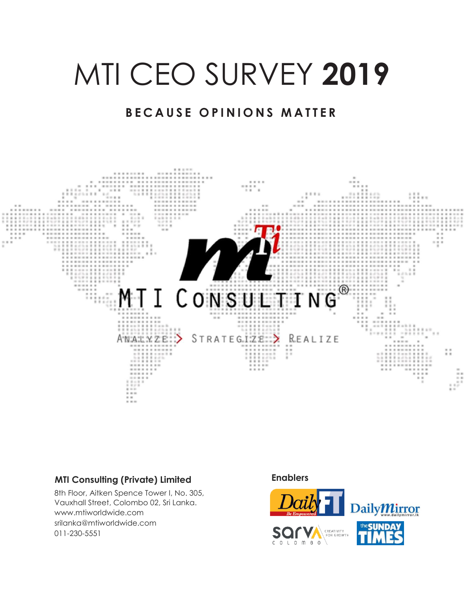# MTI CEO SURVEY **2019**

### **BECAUSE OPINIONS MATTER**



### **MTI Consulting (Private) Limited**

8th Floor, Aitken Spence Tower I, No. 305, Vauxhall Street, Colombo 02, Sri Lanka. www.mtiworldwide.com srilanka@mtiworldwide.com 011-230-5551

#### **Enablers**

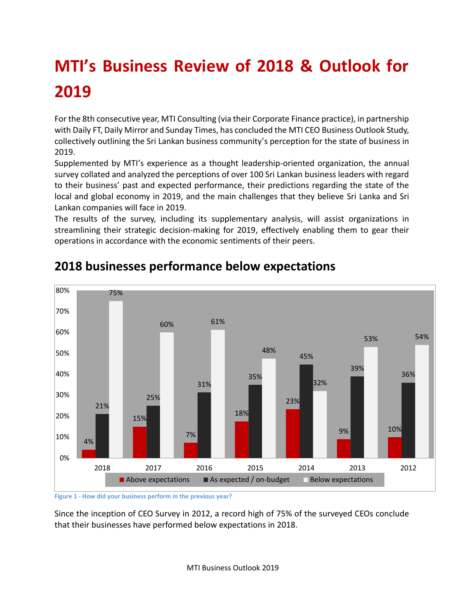# **MTI's Business Review of 2018 & Outlook for 2019**

For the 8th consecutive year, MTI Consulting (via their Corporate Finance practice), in partnership with Daily FT, Daily Mirror and Sunday Times, has concluded the MTI CEO Business Outlook Study, collectively outlining the Sri Lankan business community's perception for the state of business in 2019.

Supplemented by MTI's experience as a thought leadership-oriented organization, the annual survey collated and analyzed the perceptions of over 100 Sri Lankan business leaders with regard to their business' past and expected performance, their predictions regarding the state of the local and global economy in 2019, and the main challenges that they believe Sri Lanka and Sri Lankan companies will face in 2019.

The results of the survey, including its supplementary analysis, will assist organizations in streamlining their strategic decision-making for 2019, effectively enabling them to gear their operations in accordance with the economic sentiments of their peers.



# **2018 businesses performance below expectations**

**Figure 1 - How did your business perform in the previous year?**

Since the inception of CEO Survey in 2012, a record high of 75% of the surveyed CEOs conclude that their businesses have performed below expectations in 2018.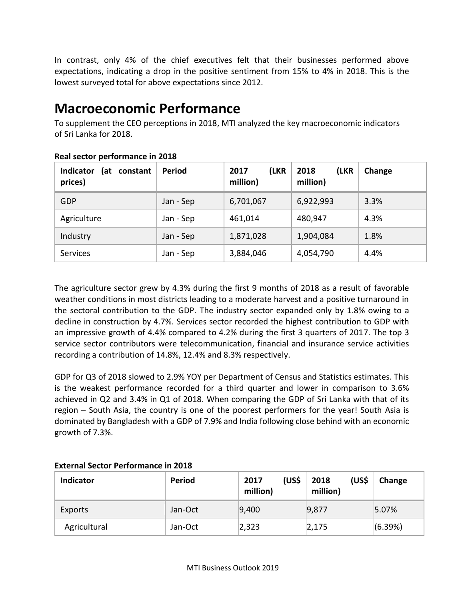In contrast, only 4% of the chief executives felt that their businesses performed above expectations, indicating a drop in the positive sentiment from 15% to 4% in 2018. This is the lowest surveyed total for above expectations since 2012.

# **Macroeconomic Performance**

To supplement the CEO perceptions in 2018, MTI analyzed the key macroeconomic indicators of Sri Lanka for 2018.

| <b>Indicator</b><br>(at constant<br>prices) | Period    | (LKR<br>2017<br>million) | 2018<br>(LKR<br>million) | Change |
|---------------------------------------------|-----------|--------------------------|--------------------------|--------|
| <b>GDP</b>                                  | Jan - Sep | 6,701,067                | 6,922,993                | 3.3%   |
| Agriculture                                 | Jan - Sep | 461,014                  | 480,947                  | 4.3%   |
| Industry                                    | Jan - Sep | 1,871,028                | 1,904,084                | 1.8%   |
| Services                                    | Jan - Sep | 3,884,046                | 4,054,790                | 4.4%   |

### **Real sector performance in 2018**

The agriculture sector grew by 4.3% during the first 9 months of 2018 as a result of favorable weather conditions in most districts leading to a moderate harvest and a positive turnaround in the sectoral contribution to the GDP. The industry sector expanded only by 1.8% owing to a decline in construction by 4.7%. Services sector recorded the highest contribution to GDP with an impressive growth of 4.4% compared to 4.2% during the first 3 quarters of 2017. The top 3 service sector contributors were telecommunication, financial and insurance service activities recording a contribution of 14.8%, 12.4% and 8.3% respectively.

GDP for Q3 of 2018 slowed to 2.9% YOY per Department of Census and Statistics estimates. This is the weakest performance recorded for a third quarter and lower in comparison to 3.6% achieved in Q2 and 3.4% in Q1 of 2018. When comparing the GDP of Sri Lanka with that of its region – South Asia, the country is one of the poorest performers for the year! South Asia is dominated by Bangladesh with a GDP of 7.9% and India following close behind with an economic growth of 7.3%.

| <b>Indicator</b> | <b>Period</b> | (US\$<br>2017<br>million) | (US\$<br>2018<br>million) | Change  |
|------------------|---------------|---------------------------|---------------------------|---------|
| Exports          | Jan-Oct       | 9,400                     | 9,877                     | 5.07%   |
| Agricultural     | Jan-Oct       | 2,323                     | 2,175                     | (6.39%) |

#### **External Sector Performance in 2018**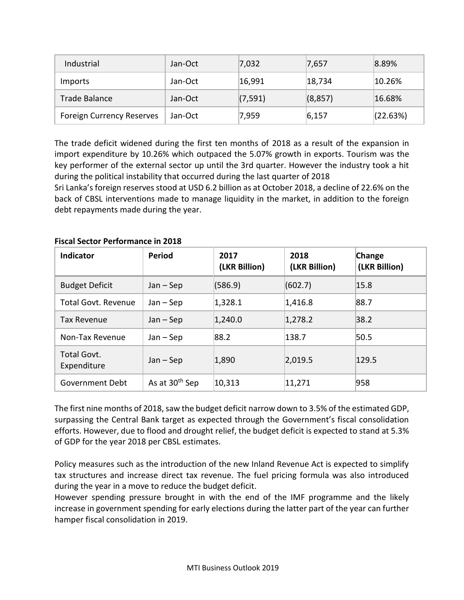| Industrial                       | Jan-Oct | 7,032    | 7,657    | $ 8.89\%$ |
|----------------------------------|---------|----------|----------|-----------|
| <b>Imports</b>                   | Jan-Oct | 16,991   | 18,734   | 10.26%    |
| Trade Balance                    | Jan-Oct | (7, 591) | (8, 857) | 16.68%    |
| <b>Foreign Currency Reserves</b> | Jan-Oct | 7,959    | 6, 157   | (22.63%)  |

The trade deficit widened during the first ten months of 2018 as a result of the expansion in import expenditure by 10.26% which outpaced the 5.07% growth in exports. Tourism was the key performer of the external sector up until the 3rd quarter. However the industry took a hit during the political instability that occurred during the last quarter of 2018

Sri Lanka's foreign reserves stood at USD 6.2 billion as at October 2018, a decline of 22.6% on the back of CBSL interventions made to manage liquidity in the market, in addition to the foreign debt repayments made during the year.

| <b>Indicator</b>           | <b>Period</b>              | 2017<br>(LKR Billion) | 2018<br>(LKR Billion) | Change<br>(LKR Billion) |
|----------------------------|----------------------------|-----------------------|-----------------------|-------------------------|
| <b>Budget Deficit</b>      | $Jan - Sep$                | (586.9)               | (602.7)               | 15.8                    |
| <b>Total Govt. Revenue</b> | $Jan - Sep$                | 1,328.1               | 1,416.8               | 88.7                    |
| Tax Revenue                | $Jan - Sep$                | 1,240.0               | 1,278.2               | 38.2                    |
| Non-Tax Revenue            | $Jan - Sep$                | 88.2                  | 138.7                 | 50.5                    |
| Total Govt.<br>Expenditure | $Jan - Sep$                | 1,890                 | 2,019.5               | 129.5                   |
| Government Debt            | As at 30 <sup>th</sup> Sep | 10,313                | 11,271                | 958                     |

#### **Fiscal Sector Performance in 2018**

The first nine months of 2018, saw the budget deficit narrow down to 3.5% of the estimated GDP, surpassing the Central Bank target as expected through the Government's fiscal consolidation efforts. However, due to flood and drought relief, the budget deficit is expected to stand at 5.3% of GDP for the year 2018 per CBSL estimates.

Policy measures such as the introduction of the new Inland Revenue Act is expected to simplify tax structures and increase direct tax revenue. The fuel pricing formula was also introduced during the year in a move to reduce the budget deficit.

However spending pressure brought in with the end of the IMF programme and the likely increase in government spending for early elections during the latter part of the year can further hamper fiscal consolidation in 2019.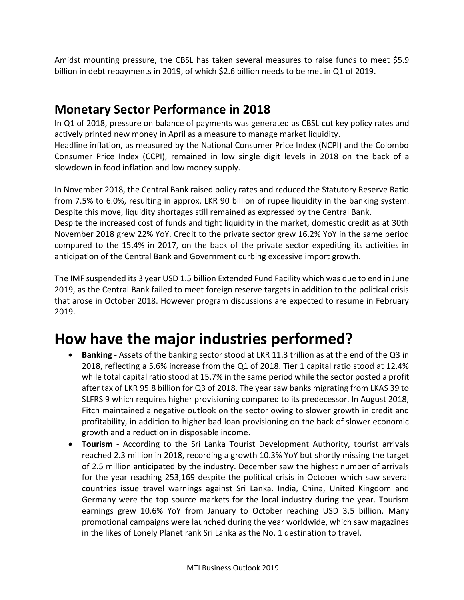Amidst mounting pressure, the CBSL has taken several measures to raise funds to meet \$5.9 billion in debt repayments in 2019, of which \$2.6 billion needs to be met in Q1 of 2019.

### **Monetary Sector Performance in 2018**

In Q1 of 2018, pressure on balance of payments was generated as CBSL cut key policy rates and actively printed new money in April as a measure to manage market liquidity.

Headline inflation, as measured by the National Consumer Price Index (NCPI) and the Colombo Consumer Price Index (CCPI), remained in low single digit levels in 2018 on the back of a slowdown in food inflation and low money supply.

In November 2018, the Central Bank raised policy rates and reduced the Statutory Reserve Ratio from 7.5% to 6.0%, resulting in approx. LKR 90 billion of rupee liquidity in the banking system. Despite this move, liquidity shortages still remained as expressed by the Central Bank. Despite the increased cost of funds and tight liquidity in the market, domestic credit as at 30th

November 2018 grew 22% YoY. Credit to the private sector grew 16.2% YoY in the same period compared to the 15.4% in 2017, on the back of the private sector expediting its activities in anticipation of the Central Bank and Government curbing excessive import growth.

The IMF suspended its 3 year USD 1.5 billion Extended Fund Facility which was due to end in June 2019, as the Central Bank failed to meet foreign reserve targets in addition to the political crisis that arose in October 2018. However program discussions are expected to resume in February 2019.

# **How have the major industries performed?**

- **Banking** Assets of the banking sector stood at LKR 11.3 trillion as at the end of the Q3 in 2018, reflecting a 5.6% increase from the Q1 of 2018. Tier 1 capital ratio stood at 12.4% while total capital ratio stood at 15.7% in the same period while the sector posted a profit after tax of LKR 95.8 billion for Q3 of 2018. The year saw banks migrating from LKAS 39 to SLFRS 9 which requires higher provisioning compared to its predecessor. In August 2018, Fitch maintained a negative outlook on the sector owing to slower growth in credit and profitability, in addition to higher bad loan provisioning on the back of slower economic growth and a reduction in disposable income.
- **Tourism**  According to the Sri Lanka Tourist Development Authority, tourist arrivals reached 2.3 million in 2018, recording a growth 10.3% YoY but shortly missing the target of 2.5 million anticipated by the industry. December saw the highest number of arrivals for the year reaching 253,169 despite the political crisis in October which saw several countries issue travel warnings against Sri Lanka. India, China, United Kingdom and Germany were the top source markets for the local industry during the year. Tourism earnings grew 10.6% YoY from January to October reaching USD 3.5 billion. Many promotional campaigns were launched during the year worldwide, which saw magazines in the likes of Lonely Planet rank Sri Lanka as the No. 1 destination to travel.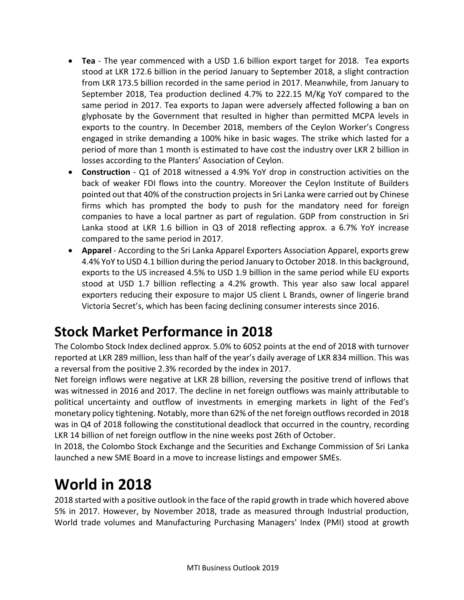- **Tea** The year commenced with a USD 1.6 billion export target for 2018. Tea exports stood at LKR 172.6 billion in the period January to September 2018, a slight contraction from LKR 173.5 billion recorded in the same period in 2017. Meanwhile, from January to September 2018, Tea production declined 4.7% to 222.15 M/Kg YoY compared to the same period in 2017. Tea exports to Japan were adversely affected following a ban on glyphosate by the Government that resulted in higher than permitted MCPA levels in exports to the country. In December 2018, members of the Ceylon Worker's Congress engaged in strike demanding a 100% hike in basic wages. The strike which lasted for a period of more than 1 month is estimated to have cost the industry over LKR 2 billion in losses according to the Planters' Association of Ceylon.
- **Construction** Q1 of 2018 witnessed a 4.9% YoY drop in construction activities on the back of weaker FDI flows into the country. Moreover the Ceylon Institute of Builders pointed out that 40% of the construction projects in Sri Lanka were carried out by Chinese firms which has prompted the body to push for the mandatory need for foreign companies to have a local partner as part of regulation. GDP from construction in Sri Lanka stood at LKR 1.6 billion in Q3 of 2018 reflecting approx. a 6.7% YoY increase compared to the same period in 2017.
- **Apparel** According to the Sri Lanka Apparel Exporters Association Apparel, exports grew 4.4% YoY to USD 4.1 billion during the period January to October 2018. In this background, exports to the US increased 4.5% to USD 1.9 billion in the same period while EU exports stood at USD 1.7 billion reflecting a 4.2% growth. This year also saw local apparel exporters reducing their exposure to major US client L Brands, owner of lingerie brand Victoria Secret's, which has been facing declining consumer interests since 2016.

# **Stock Market Performance in 2018**

The Colombo Stock Index declined approx. 5.0% to 6052 points at the end of 2018 with turnover reported at LKR 289 million, less than half of the year's daily average of LKR 834 million. This was a reversal from the positive 2.3% recorded by the index in 2017.

Net foreign inflows were negative at LKR 28 billion, reversing the positive trend of inflows that was witnessed in 2016 and 2017. The decline in net foreign outflows was mainly attributable to political uncertainty and outflow of investments in emerging markets in light of the Fed's monetary policy tightening. Notably, more than 62% of the net foreign outflows recorded in 2018 was in Q4 of 2018 following the constitutional deadlock that occurred in the country, recording LKR 14 billion of net foreign outflow in the nine weeks post 26th of October.

In 2018, the Colombo Stock Exchange and the Securities and Exchange Commission of Sri Lanka launched a new SME Board in a move to increase listings and empower SMEs.

# **World in 2018**

2018 started with a positive outlook in the face of the rapid growth in trade which hovered above 5% in 2017. However, by November 2018, trade as measured through Industrial production, World trade volumes and Manufacturing Purchasing Managers' Index (PMI) stood at growth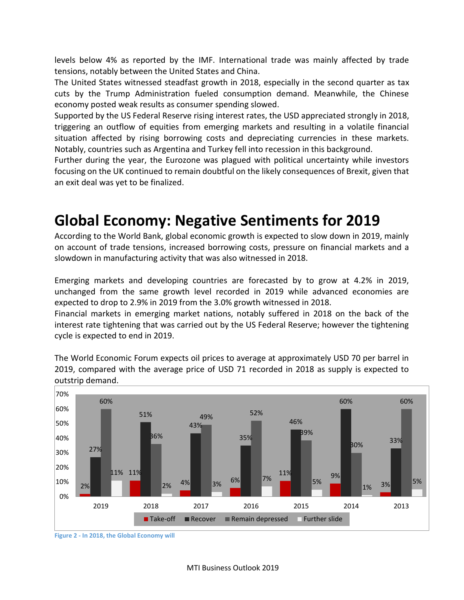levels below 4% as reported by the IMF. International trade was mainly affected by trade tensions, notably between the United States and China.

The United States witnessed steadfast growth in 2018, especially in the second quarter as tax cuts by the Trump Administration fueled consumption demand. Meanwhile, the Chinese economy posted weak results as consumer spending slowed.

Supported by the US Federal Reserve rising interest rates, the USD appreciated strongly in 2018, triggering an outflow of equities from emerging markets and resulting in a volatile financial situation affected by rising borrowing costs and depreciating currencies in these markets. Notably, countries such as Argentina and Turkey fell into recession in this background.

Further during the year, the Eurozone was plagued with political uncertainty while investors focusing on the UK continued to remain doubtful on the likely consequences of Brexit, given that an exit deal was yet to be finalized.

# **Global Economy: Negative Sentiments for 2019**

According to the World Bank, global economic growth is expected to slow down in 2019, mainly on account of trade tensions, increased borrowing costs, pressure on financial markets and a slowdown in manufacturing activity that was also witnessed in 2018.

Emerging markets and developing countries are forecasted by to grow at 4.2% in 2019, unchanged from the same growth level recorded in 2019 while advanced economies are expected to drop to 2.9% in 2019 from the 3.0% growth witnessed in 2018.

Financial markets in emerging market nations, notably suffered in 2018 on the back of the interest rate tightening that was carried out by the US Federal Reserve; however the tightening cycle is expected to end in 2019.

The World Economic Forum expects oil prices to average at approximately USD 70 per barrel in 2019, compared with the average price of USD 71 recorded in 2018 as supply is expected to outstrip demand.



**Figure 2 - In 2018, the Global Economy will**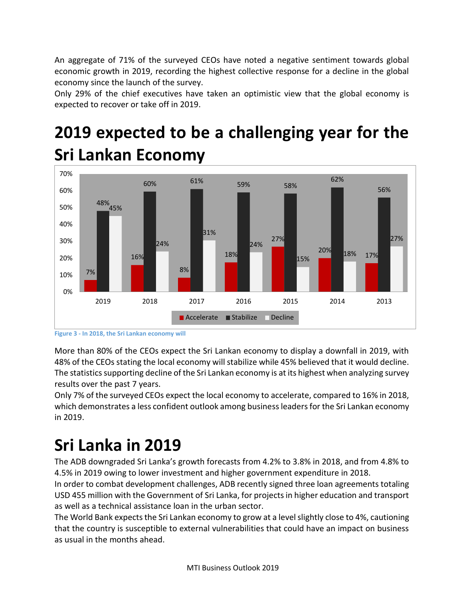An aggregate of 71% of the surveyed CEOs have noted a negative sentiment towards global economic growth in 2019, recording the highest collective response for a decline in the global economy since the launch of the survey.

Only 29% of the chief executives have taken an optimistic view that the global economy is expected to recover or take off in 2019.

# **2019 expected to be a challenging year for the Sri Lankan Economy**



**Figure 3 - In 2018, the Sri Lankan economy will**

More than 80% of the CEOs expect the Sri Lankan economy to display a downfall in 2019, with 48% of the CEOs stating the local economy will stabilize while 45% believed that it would decline. The statistics supporting decline of the Sri Lankan economy is at its highest when analyzing survey results over the past 7 years.

Only 7% of the surveyed CEOs expect the local economy to accelerate, compared to 16% in 2018, which demonstrates a less confident outlook among business leaders for the Sri Lankan economy in 2019.

# **Sri Lanka in 2019**

The ADB downgraded Sri Lanka's growth forecasts from 4.2% to 3.8% in 2018, and from 4.8% to 4.5% in 2019 owing to lower investment and higher government expenditure in 2018.

In order to combat development challenges, ADB recently signed three loan agreements totaling USD 455 million with the Government of Sri Lanka, for projects in higher education and transport as well as a technical assistance loan in the urban sector.

The World Bank expects the Sri Lankan economy to grow at a level slightly close to 4%, cautioning that the country is susceptible to external vulnerabilities that could have an impact on business as usual in the months ahead.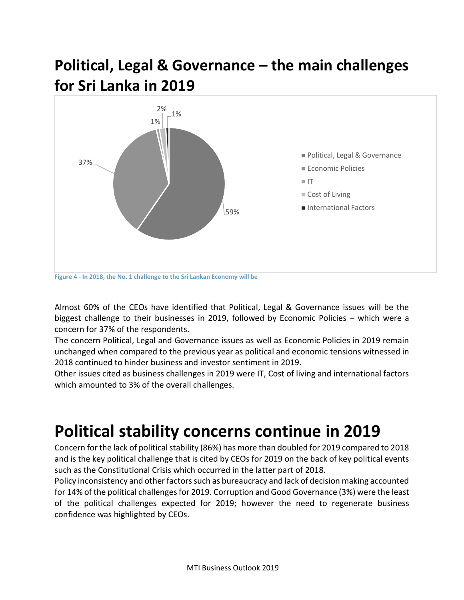# **Political, Legal & Governance – the main challenges for Sri Lanka in 2019**



**Figure 4 - In 2018, the No. 1 challenge to the Sri Lankan Economy will be**

Almost 60% of the CEOs have identified that Political, Legal & Governance issues will be the biggest challenge to their businesses in 2019, followed by Economic Policies – which were a concern for 37% of the respondents.

The concern Political, Legal and Governance issues as well as Economic Policies in 2019 remain unchanged when compared to the previous year as political and economic tensions witnessed in 2018 continued to hinder business and investor sentiment in 2019.

Other issues cited as business challenges in 2019 were IT, Cost of living and international factors which amounted to 3% of the overall challenges.

# **Political stability concerns continue in 2019**

Concern for the lack of political stability (86%) has more than doubled for 2019 compared to 2018 and is the key political challenge that is cited by CEOs for 2019 on the back of key political events such as the Constitutional Crisis which occurred in the latter part of 2018.

Policy inconsistency and other factors such as bureaucracy and lack of decision making accounted for 14% of the political challenges for 2019. Corruption and Good Governance (3%) were the least of the political challenges expected for 2019; however the need to regenerate business confidence was highlighted by CEOs.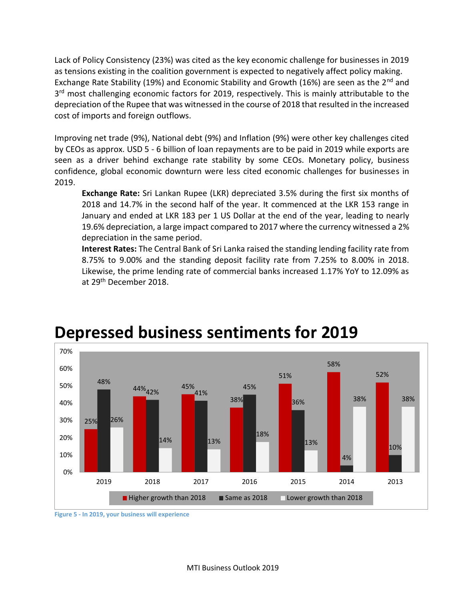Lack of Policy Consistency (23%) was cited as the key economic challenge for businesses in 2019 as tensions existing in the coalition government is expected to negatively affect policy making. Exchange Rate Stability (19%) and Economic Stability and Growth (16%) are seen as the 2<sup>nd</sup> and 3<sup>rd</sup> most challenging economic factors for 2019, respectively. This is mainly attributable to the depreciation of the Rupee that was witnessed in the course of 2018 that resulted in the increased cost of imports and foreign outflows.

Improving net trade (9%), National debt (9%) and Inflation (9%) were other key challenges cited by CEOs as approx. USD 5 - 6 billion of loan repayments are to be paid in 2019 while exports are seen as a driver behind exchange rate stability by some CEOs. Monetary policy, business confidence, global economic downturn were less cited economic challenges for businesses in 2019.

**Exchange Rate:** Sri Lankan Rupee (LKR) depreciated 3.5% during the first six months of 2018 and 14.7% in the second half of the year. It commenced at the LKR 153 range in January and ended at LKR 183 per 1 US Dollar at the end of the year, leading to nearly 19.6% depreciation, a large impact compared to 2017 where the currency witnessed a 2% depreciation in the same period.

**Interest Rates:** The Central Bank of Sri Lanka raised the standing lending facility rate from 8.75% to 9.00% and the standing deposit facility rate from 7.25% to 8.00% in 2018. Likewise, the prime lending rate of commercial banks increased 1.17% YoY to 12.09% as at 29<sup>th</sup> December 2018.



# **Depressed business sentiments for 2019**

**Figure 5 - In 2019, your business will experience**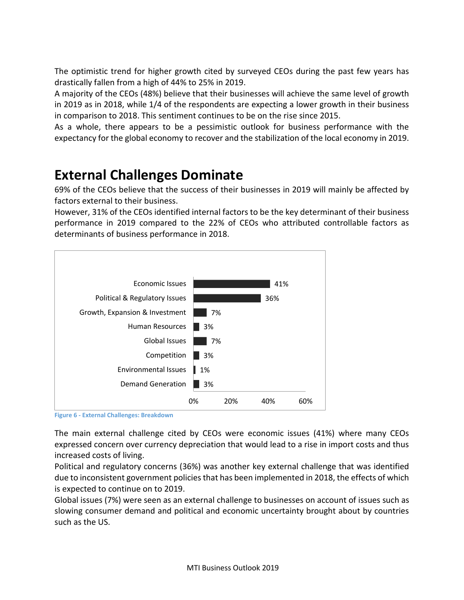The optimistic trend for higher growth cited by surveyed CEOs during the past few years has drastically fallen from a high of 44% to 25% in 2019.

A majority of the CEOs (48%) believe that their businesses will achieve the same level of growth in 2019 as in 2018, while 1/4 of the respondents are expecting a lower growth in their business in comparison to 2018. This sentiment continues to be on the rise since 2015.

As a whole, there appears to be a pessimistic outlook for business performance with the expectancy for the global economy to recover and the stabilization of the local economy in 2019.

# **External Challenges Dominate**

69% of the CEOs believe that the success of their businesses in 2019 will mainly be affected by factors external to their business.

However, 31% of the CEOs identified internal factors to be the key determinant of their business performance in 2019 compared to the 22% of CEOs who attributed controllable factors as determinants of business performance in 2018.



**Figure 6 - External Challenges: Breakdown**

The main external challenge cited by CEOs were economic issues (41%) where many CEOs expressed concern over currency depreciation that would lead to a rise in import costs and thus increased costs of living.

Political and regulatory concerns (36%) was another key external challenge that was identified due to inconsistent government policies that has been implemented in 2018, the effects of which is expected to continue on to 2019.

Global issues (7%) were seen as an external challenge to businesses on account of issues such as slowing consumer demand and political and economic uncertainty brought about by countries such as the US.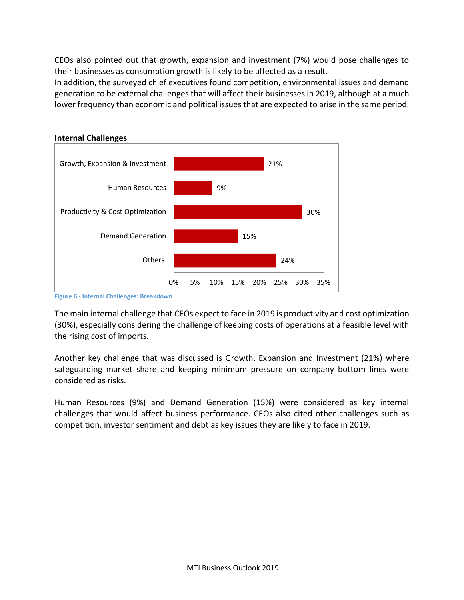CEOs also pointed out that growth, expansion and investment (7%) would pose challenges to their businesses as consumption growth is likely to be affected as a result.

In addition, the surveyed chief executives found competition, environmental issues and demand generation to be external challenges that will affect their businesses in 2019, although at a much lower frequency than economic and political issues that are expected to arise in the same period.



#### **Internal Challenges**

**Figure 6 - Internal Challenges: Breakdown**

The main internal challenge that CEOs expect to face in 2019 is productivity and cost optimization (30%), especially considering the challenge of keeping costs of operations at a feasible level with the rising cost of imports.

Another key challenge that was discussed is Growth, Expansion and Investment (21%) where safeguarding market share and keeping minimum pressure on company bottom lines were considered as risks.

Human Resources (9%) and Demand Generation (15%) were considered as key internal challenges that would affect business performance. CEOs also cited other challenges such as competition, investor sentiment and debt as key issues they are likely to face in 2019.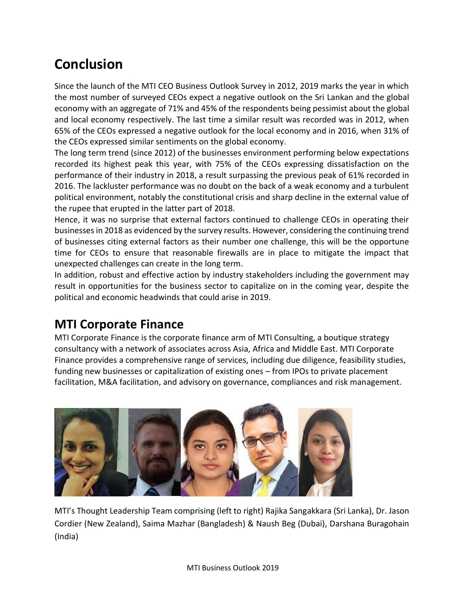# **Conclusion**

Since the launch of the MTI CEO Business Outlook Survey in 2012, 2019 marks the year in which the most number of surveyed CEOs expect a negative outlook on the Sri Lankan and the global economy with an aggregate of 71% and 45% of the respondents being pessimist about the global and local economy respectively. The last time a similar result was recorded was in 2012, when 65% of the CEOs expressed a negative outlook for the local economy and in 2016, when 31% of the CEOs expressed similar sentiments on the global economy.

The long term trend (since 2012) of the businesses environment performing below expectations recorded its highest peak this year, with 75% of the CEOs expressing dissatisfaction on the performance of their industry in 2018, a result surpassing the previous peak of 61% recorded in 2016. The lackluster performance was no doubt on the back of a weak economy and a turbulent political environment, notably the constitutional crisis and sharp decline in the external value of the rupee that erupted in the latter part of 2018.

Hence, it was no surprise that external factors continued to challenge CEOs in operating their businesses in 2018 as evidenced by the survey results. However, considering the continuing trend of businesses citing external factors as their number one challenge, this will be the opportune time for CEOs to ensure that reasonable firewalls are in place to mitigate the impact that unexpected challenges can create in the long term.

In addition, robust and effective action by industry stakeholders including the government may result in opportunities for the business sector to capitalize on in the coming year, despite the political and economic headwinds that could arise in 2019.

### **MTI Corporate Finance**

MTI Corporate Finance is the corporate finance arm of MTI Consulting, a boutique strategy consultancy with a network of associates across Asia, Africa and Middle East. MTI Corporate Finance provides a comprehensive range of services, including due diligence, feasibility studies, funding new businesses or capitalization of existing ones – from IPOs to private placement facilitation, M&A facilitation, and advisory on governance, compliances and risk management.



MTI's Thought Leadership Team comprising (left to right) Rajika Sangakkara (Sri Lanka), Dr. Jason Cordier (New Zealand), Saima Mazhar (Bangladesh) & Naush Beg (Dubai), Darshana Buragohain (India)